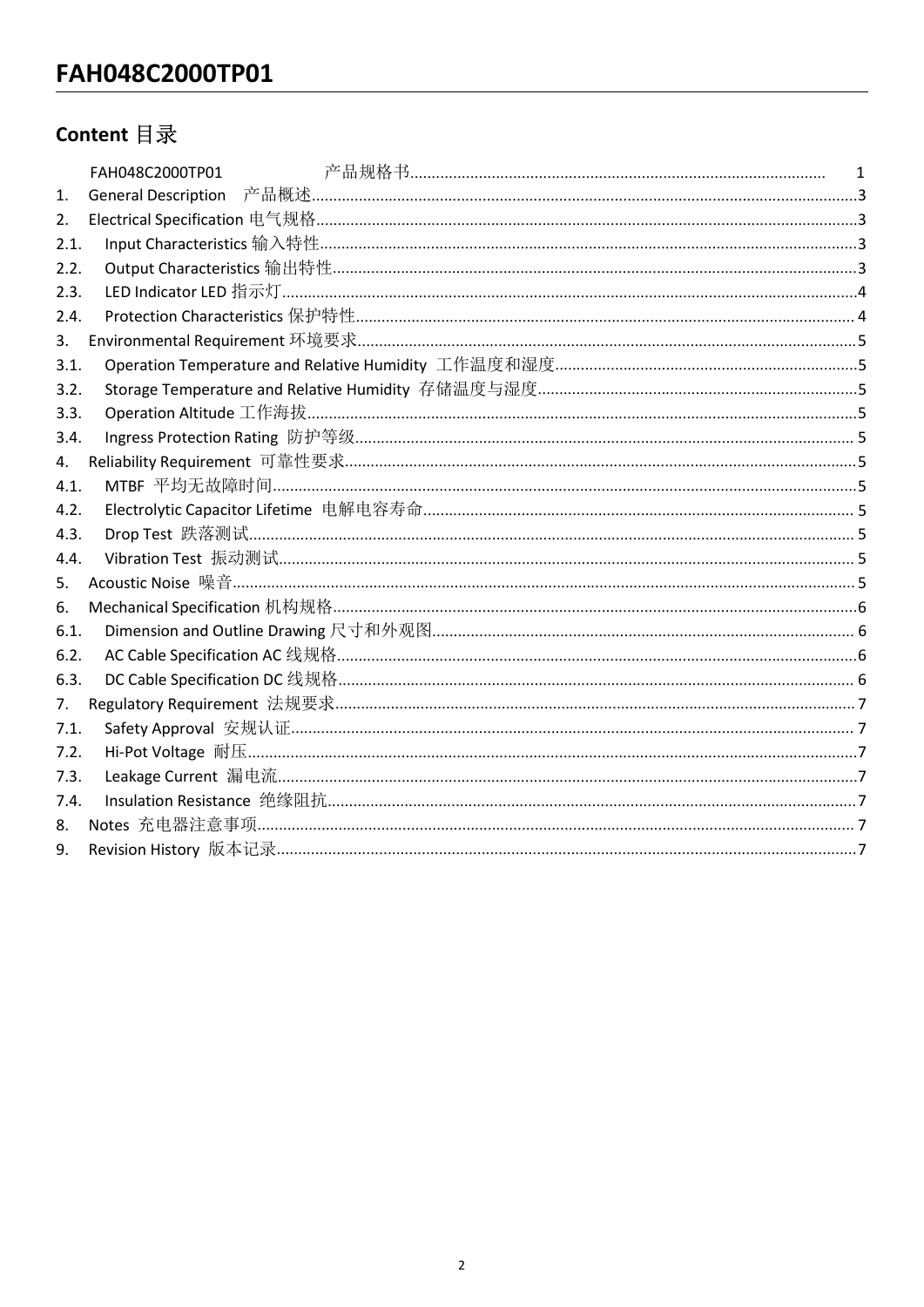# FAH048C2000TP01

## Content 目录

| 1.   |  |
|------|--|
| 2.   |  |
| 2.1. |  |
| 2.2. |  |
| 2.3. |  |
| 2.4. |  |
| 3.   |  |
| 3.1. |  |
| 3.2. |  |
| 3.3. |  |
| 3.4. |  |
| 4.   |  |
| 4.1. |  |
| 4.2. |  |
| 4.3. |  |
| 4.4. |  |
| 5.   |  |
| 6.   |  |
| 6.1. |  |
| 6.2. |  |
| 6.3. |  |
| 7.   |  |
| 7.1. |  |
| 7.2. |  |
| 7.3. |  |
| 7.4. |  |
| 8.   |  |
| 9.   |  |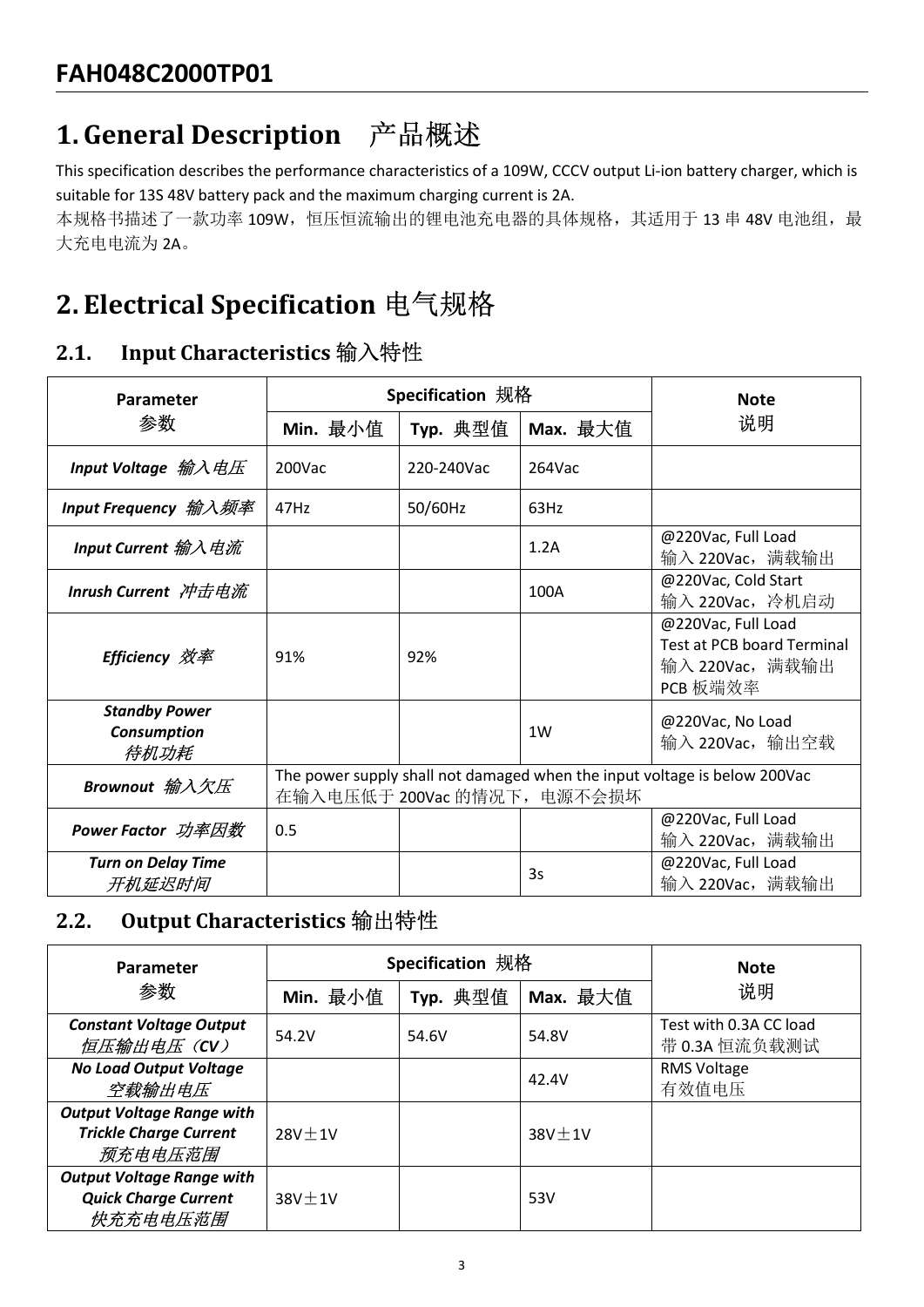FAH048C2000TP01<br>1. General Description 产品概述<br>This specification describes the performance characteristics of a 109W, CCCV output Li-ion ba<br>suitable for 13S 48V battery pack and the maximum charging current is 2A.<br>本规格书描述了一 This specification describes the performance characteristics of a 109W, CCCV output Li-ion battery charger, which is FAH048C2000TP01<br>1. General Description 产品概述<br>This specification describes the performance characteristics of a 109W, CCCV output Li-ion battery charger, which is<br>suitable for 13S 48V battery pack and the maximum charging FAH048C2000TP01<br>
1. General Description 产品概述<br>
This specification describes the performance characteristics of a 109W, CCCV output Li-ion batter<br>
suitable for 135 48V battery pack and the maximum charging current is 2A.<br>

| <b>FAH048C2000TP01</b>                                                                                                                                                                                                                                                        |                  |            |                             |                                                                                 |
|-------------------------------------------------------------------------------------------------------------------------------------------------------------------------------------------------------------------------------------------------------------------------------|------------------|------------|-----------------------------|---------------------------------------------------------------------------------|
| 1. General Description 产品概述                                                                                                                                                                                                                                                   |                  |            |                             |                                                                                 |
| This specification describes the performance characteristics of a 109W, CCCV output Li-ion battery charger, which is<br>suitable for 13S 48V battery pack and the maximum charging current is 2A.<br>本规格书描述了一款功率 109W, 恒压恒流输出的锂电池充电器的具体规格, 其适用于 13 串 48V 电池组, 最<br>大充电电流为 2A。 |                  |            |                             |                                                                                 |
| 2. Electrical Specification 电气规格                                                                                                                                                                                                                                              |                  |            |                             |                                                                                 |
| Input Characteristics 输入特性<br>2.1.                                                                                                                                                                                                                                            |                  |            |                             |                                                                                 |
| Parameter                                                                                                                                                                                                                                                                     | Specification 规格 |            |                             | <b>Note</b>                                                                     |
| 参数                                                                                                                                                                                                                                                                            | Min. 最小值         | Typ. 典型值   | Max. 最大值                    | 说明                                                                              |
| Input Voltage 输入电压                                                                                                                                                                                                                                                            | 200Vac           | 220-240Vac | 264Vac                      |                                                                                 |
| Input Frequency <i>输入频率</i>                                                                                                                                                                                                                                                   | 47Hz             | 50/60Hz    | 63Hz                        |                                                                                 |
| Input Current 输入电流                                                                                                                                                                                                                                                            |                  |            | 1.2A                        | @220Vac, Full Load<br>输入 220Vac, 满载输出                                           |
| <b>Inrush Current 冲击电流</b>                                                                                                                                                                                                                                                    |                  |            | 100A                        | @220Vac, Cold Start<br>输入 220Vac, 冷机启动                                          |
| <b>Efficiency 效率</b>                                                                                                                                                                                                                                                          | 91%              | 92%        |                             | @220Vac, Full Load<br>Test at PCB board Terminal<br>输入 220Vac, 满载输出<br>PCB 板端效率 |
| <b>Standby Power</b><br><b>Consumption</b><br>待机功耗                                                                                                                                                                                                                            |                  |            | 1W                          | @220Vac, No Load<br>输入 220Vac, 输出空载                                             |
| Brownout 输入欠压                                                                                                                                                                                                                                                                 |                  |            | 在输入电压低于 200Vac 的情况下, 电源不会损坏 | The power supply shall not damaged when the input voltage is below 200Vac       |
| <b>Power Factor</b> 功率因数                                                                                                                                                                                                                                                      | 0.5              |            |                             | @220Vac, Full Load<br>输入 220Vac, 满载输出                                           |
| <b>Turn on Delay Time</b><br>开机延迟时间                                                                                                                                                                                                                                           |                  |            | 3s                          | @220Vac, Full Load<br>输入 220Vac, 满载输出                                           |
| Output Characteristics 输出特性<br>2.2.                                                                                                                                                                                                                                           |                  |            |                             |                                                                                 |
| Parameter                                                                                                                                                                                                                                                                     | Specification 规格 |            |                             | <b>Note</b>                                                                     |
| 参数                                                                                                                                                                                                                                                                            | Min. 最小值         | Typ. 典型值   | Max. 最大值                    | 说明                                                                              |
| <b>Constant Voltage Output</b><br>恒压输出电压 (CV)                                                                                                                                                                                                                                 | 54.2V            | 54.6V      | 54.8V                       | Test with 0.3A CC load<br>带 0.3A 恒流负载测试                                         |
| <b>No Load Output Voltage</b><br>空载输出电压                                                                                                                                                                                                                                       |                  |            | 42.4V                       | RMS Voltage<br>有效值电压                                                            |
| <b>Output Voltage Range with</b><br><b>Trickle Charge Current</b><br>药大市市厅世里                                                                                                                                                                                                  | $28V \pm 1V$     |            | $38V \pm 1V$                |                                                                                 |

|                                                                              |                                                                                                          |                  |              | PCB 板端效率                                |  |  |
|------------------------------------------------------------------------------|----------------------------------------------------------------------------------------------------------|------------------|--------------|-----------------------------------------|--|--|
| <b>Standby Power</b><br>Consumption<br>待机功耗                                  |                                                                                                          |                  | 1W           | @220Vac, No Load<br>输入 220Vac, 输出空载     |  |  |
| Brownout 输入欠压                                                                | The power supply shall not damaged when the input voltage is below 200Vac<br>在输入电压低于 200Vac 的情况下, 电源不会损坏 |                  |              |                                         |  |  |
| <b>Power Factor</b> 功率因数                                                     | 0.5                                                                                                      |                  |              | @220Vac, Full Load<br>输入 220Vac, 满载输出   |  |  |
| <b>Turn on Delay Time</b><br>开机延迟时间                                          |                                                                                                          |                  | 3s           | @220Vac, Full Load<br>输入 220Vac, 满载输出   |  |  |
| Output Characteristics 输出特性<br>2.2.                                          |                                                                                                          |                  |              |                                         |  |  |
| Parameter                                                                    |                                                                                                          | Specification 规格 | <b>Note</b>  |                                         |  |  |
| 参数                                                                           | Min. 最小值                                                                                                 | Typ. 典型值         | Max. 最大值     | 说明                                      |  |  |
| <b>Constant Voltage Output</b><br>恒压输出电压 (CV)                                | 54.2V                                                                                                    | 54.6V            | 54.8V        | Test with 0.3A CC load<br>带 0.3A 恒流负载测试 |  |  |
| <b>No Load Output Voltage</b><br>空载输出电压                                      |                                                                                                          |                  | 42.4V        | RMS Voltage<br>有效值电压                    |  |  |
| <b>Output Voltage Range with</b><br><b>Trickle Charge Current</b><br>预充电电压范围 | $28V \pm 1V$                                                                                             |                  | $38V \pm 1V$ |                                         |  |  |
| <b>Output Voltage Range with</b>                                             |                                                                                                          |                  |              |                                         |  |  |
| <b>Quick Charge Current</b><br>快充充电电压范围                                      | $38V \pm 1V$                                                                                             |                  | 53V          |                                         |  |  |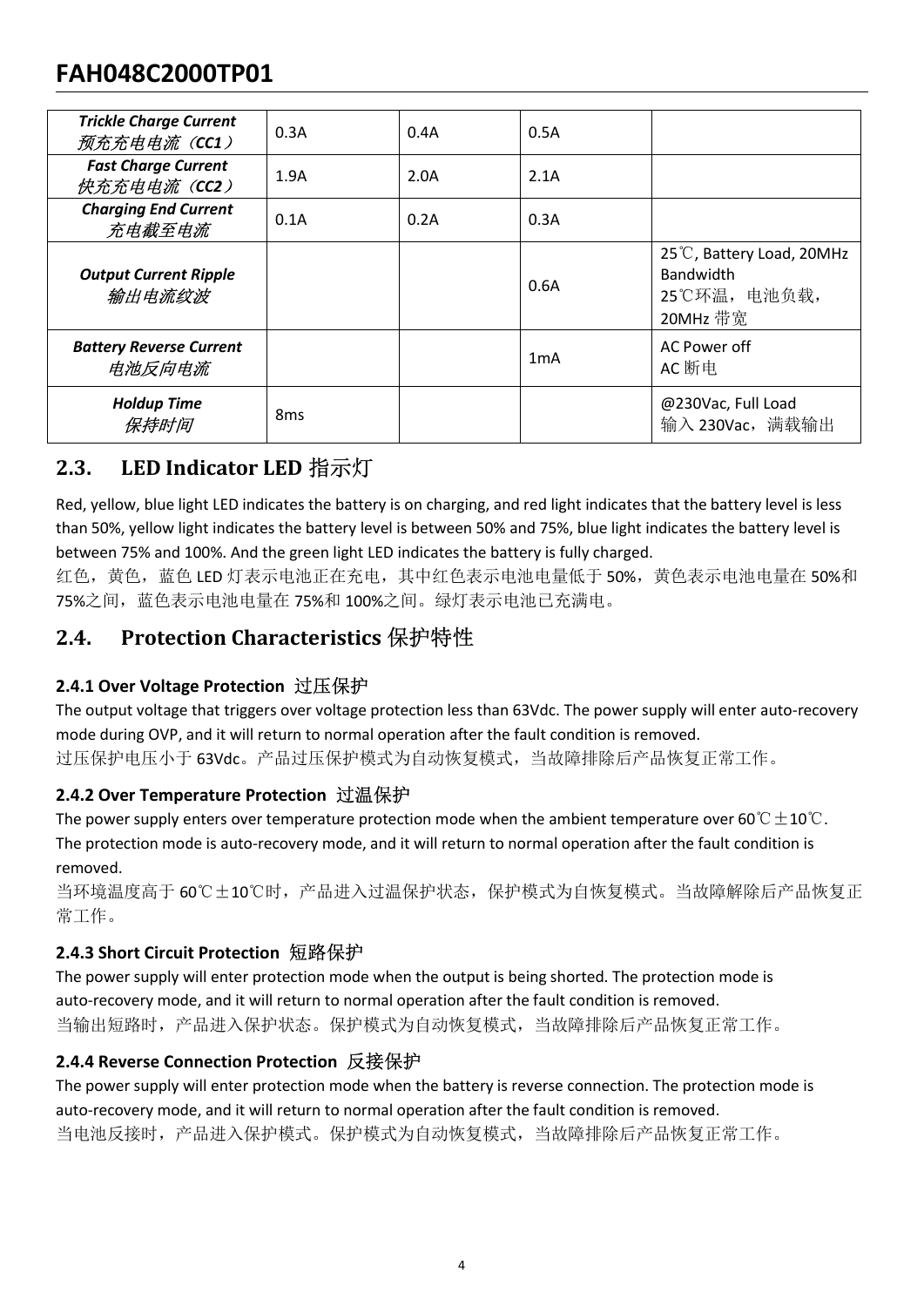# FAH048C2000TP01

| <b>FAH048C2000TP01</b>                                                                                                                                                                 |                 |      |                  |                                                                                                                                                                                                                                                                                                                |
|----------------------------------------------------------------------------------------------------------------------------------------------------------------------------------------|-----------------|------|------------------|----------------------------------------------------------------------------------------------------------------------------------------------------------------------------------------------------------------------------------------------------------------------------------------------------------------|
| <b>Trickle Charge Current</b><br>预充充电电流(CC1)                                                                                                                                           | 0.3A            | 0.4A | 0.5A             |                                                                                                                                                                                                                                                                                                                |
| <b>Fast Charge Current</b><br>快充充电电流 (CC2)                                                                                                                                             | 1.9A            | 2.0A | 2.1A             |                                                                                                                                                                                                                                                                                                                |
| <b>Charging End Current</b><br>充电截至电流                                                                                                                                                  | 0.1A            | 0.2A | 0.3A             |                                                                                                                                                                                                                                                                                                                |
| <b>Output Current Ripple</b><br>输出电流纹波                                                                                                                                                 |                 |      | 0.6A             | 25°C, Battery Load, 20MHz<br>Bandwidth<br>25℃环温, 电池负载,<br>20MHz 带宽                                                                                                                                                                                                                                             |
| <b>Battery Reverse Current</b><br>电池反向电流                                                                                                                                               |                 |      | 1 <sub>m</sub> A | AC Power off<br>AC 断电                                                                                                                                                                                                                                                                                          |
| <b>Holdup Time</b><br>保持时间                                                                                                                                                             | 8 <sub>ms</sub> |      |                  | @230Vac, Full Load<br>输入 230Vac, 满载输出                                                                                                                                                                                                                                                                          |
| LED Indicator LED 指示灯<br>2.3.                                                                                                                                                          |                 |      |                  |                                                                                                                                                                                                                                                                                                                |
| between 75% and 100%. And the green light LED indicates the battery is fully charged.<br>75%之间, 蓝色表示电池电量在 75%和 100%之间。绿灯表示电池已充满电。                                                      |                 |      |                  | Red, yellow, blue light LED indicates the battery is on charging, and red light indicates that the battery level is less<br>than 50%, yellow light indicates the battery level is between 50% and 75%, blue light indicates the battery level is<br>红色, 黄色, 蓝色 LED 灯表示电池正在充电, 其中红色表示电池电量低于 50%, 黄色表示电池电量在 50%和 |
| Protection Characteristics 保护特性<br>2.4.                                                                                                                                                |                 |      |                  |                                                                                                                                                                                                                                                                                                                |
| 2.4.1 Over Voltage Protection 过压保护<br>mode during OVP, and it will return to normal operation after the fault condition is removed.<br>过压保护电压小于 63Vdc。产品过压保护模式为自动恢复模式, 当故障排除后产品恢复正常工作。 |                 |      |                  | The output voltage that triggers over voltage protection less than 63Vdc. The power supply will enter auto-recovery                                                                                                                                                                                            |
| 2.4.2 Over Temperature Protection 过温保护<br>The protection mode is auto-recovery mode, and it will return to normal operation after the fault condition is                               |                 |      |                  | The power supply enters over temperature protection mode when the ambient temperature over 60 $\degree$ C $\pm$ 10 $\degree$ C.                                                                                                                                                                                |

**From Finally and The Matter State of the Matter of the protection is and the protection of the protection of the protection of the protection of the protection of the protection of the protection of the protection of th The power supply enternal condition in the ambient over temperature protection model in the ambient temperature protection model in the ambient temperature protection model when the ambient temperature protection model** 

removed. 75%之间,蓝色表示电池电量在 75%和 100%之间。绿灯表示电池已充满电。<br>**2.4. Protection Characteristics 保护特性**<br>2.4. Over Voltage Protection 过压保护<br>The output voltage Protection 过压保护<br>mode during OVP, and it will return to normal operation after the fault 2.4. Protection Characteristics 保护特性<br>The output voltage Protection 过压保护<br>The output voltage that triggers over voltage protection less than 63Vdc. The power supply will enter auto-recovery<br>mode during OVP, and it will ret

当环境温度高于 60℃±10℃时,产品进入过温保护状态,保护模式为自恢复模式。当故障解除后产品恢复正 常工作。

红色,黄色,蓝色 LED 灯表示电池正在充电,其中红色表示电池电量低于 50%,黄色表<br>75%之间,蓝色表示电池电量在 75%和 100%之间。绿灯表示电池已充满电。<br>**2.4.1 Over Voltage Protection 立压保护**<br>**2.4.1 Over Voltage Protection 过压保护**<br>**2.4.1 Over Voltage Protection 过压保护**<br>**2.4.1 Over Voltage Protec** 当输出短路时,产品进入保护状态。保护模式为自动恢复模式,当故障排除后产品恢复正常工作。 **2.4.1 Over Voltage Protection 过压保护**<br>The output voltage that triggers over voltage protection less than 63Vdc. The power supply will enter a<br>mode during OVP, and it will return to normal operation after the fault conditio

The output voltage that triggers over voltage protection less than 63Vdc. The power supply will enter auto-recovery<br>mode during OVP, and it will return to normal operation alter the fault condition is removed.<br>
The power mode during OVP, and it will return to normal operation after the fault condition is removed.<br>过压保护电压小于 63Vdc. 产品过压保护模式为自动恢复模式,当故障排除后产品恢复正常工作。<br>**TAL OVer Temperature Protection in 过温保护**<br>The power supply enters over temperat 当电池反接时,产品进入保护模式。保护模式为自动恢复模式,当故障排除后产品恢复正常工作。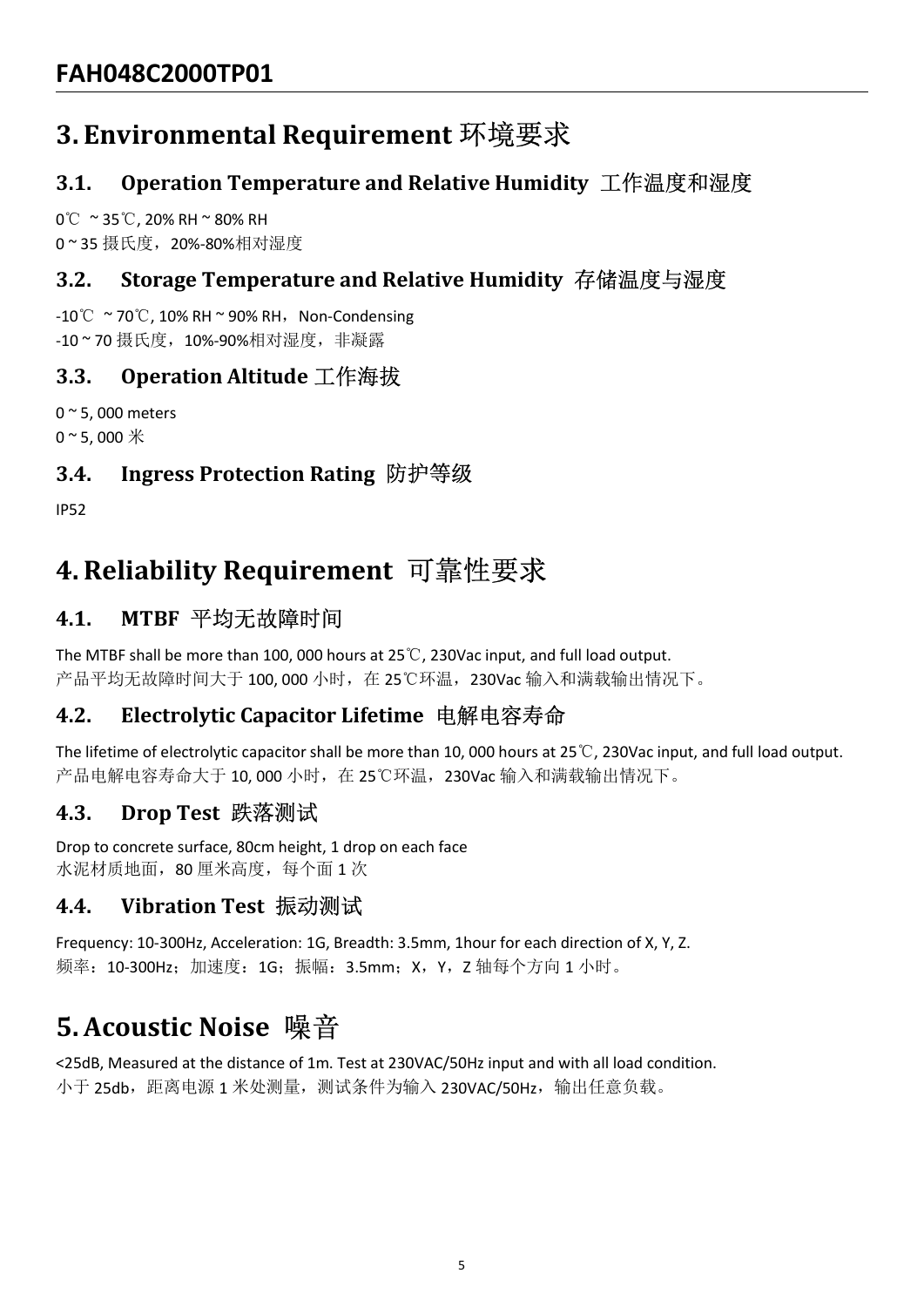# FAH048C2000TP01<br>3. Environmental Requirement 环境要求<br>3.1. Operation Temperature and Relative Humidity<br>0℃~35℃, 20%-RH~80% RH<br>0~35 摄氏度,20%-80%相对湿度<br>3.2. Storage Temperature and Relative Humidity 有<br>-10℃~70℃, 10% RH~90% RH,Non-C FAH048C2000TP01<br>3. Environmental Requirement 环境要求<br>3.1. Operation Temperature and Relative Humidity<br>0℃ ~ 35℃, 20% RH ~ 80% RH<br>0~ 35 摄氏度, 20%-80%相对湿度<br>3.2. Storage Temperature and Relative Humidity 存4<br>-10℃ ~ 70℃, 10% RH ~ 9 FAH048C2000TP01<br>3. Environmental Requirement 环境要求<br>3.1. Operation Temperature and Relative Humidity 工作<br>0℃ ~35℃, 20% RH ~ 80% RH<br>0~35 摄氏度,20%-80%相对湿度<br>3.2. Storage Temperature and Relative Humidity 存储温<br>-10℃ ~70℃, 10% RH ~ 9 FAH048C2000TP01<br>3. Environmental Requirement 环境要求<br>3.1. Operation Temperature and Relative Humidity<br>0℃~35℃, 20% RH~80% RH<br>0~35 摄氏度,20%-80%相对湿度<br>3.2. Storage Temperature and Relative Humidity 存作<br>-10℃~70℃, 10% RH~90% RH, Non

# FAH048C2000TP01<br>3. Environmental Requirement 环境要求<br>3.1. Operation Temperature and Relative Humidity 工作温度和湿度<br>0℃ ~35℃,20% RH ~80% RH FAH048C2000TP01<br>3. Environmental Requirement 环境要求<br>3.1. Operation Temperature and Relative Humidity 工作温度和湿度<br>0℃ ~35℃, 20% RH ~ 80% RH<br>0~35 摄氏度,20%-80%相对湿度<br>3.2. Storage Temperature and Relative Humidity 存储温度与湿度 FAH048C2000TP01<br>3. Environmental Requirement 环境要求<br>3.1. Operation Temperature and Relative Humidity 工作温度和湿度<br>0℃ ~35℃, 20% RH ~80% RH<br>0~35 摄氏度,20%-80%相对湿度<br>3.2. Storage Temperature and Relative Humidity 存储温度与湿度<br>-10℃ ~70℃, 10 FAH048C2000TP01<br>3. Environmental Requirement 环境要求<br>3.1. Operation Temperature and Relative Humidity 工作温度和湿度<br>ov ~ 35℃, 20% RH ~ 80% RH<br>o ~ 35 摄氏度,20%-80%相对湿度<br>3.2. Storage Temperature and Relative Humidity 存储温度与湿度<br>-10℃ ~ 70 FAH048C2000TP01<br>3. Environmental Requirement 环境要求<br>3.1. Operation Temperature and Relative Humidity 工作温度和湿度<br>0℃ ~ 35℃, 20% RH ~ 80% RH<br>0~35 摄氏度,20%-80%相对湿度<br>3.2. Storage Temperature and Relative Humidity 存储温度与湿度<br>-10℃ ~ 70℃, <del>FAHU48CZU001P01<br>
3. Environmental Requirement 环境要求<br>
3.1. Operation Temperature and Relative Humidity 工作温度和湿度<br>
0° ≈ 35℃, 20% RH ~ 80% RH<br>
0° 35 摄氏度,20%-80%相对湿度<br>
3.2. Storage Temperature and Relative Humidity 存储温度与湿度<br>
3.2</del>

# FAH048C2000TP01<br>3. Environmental Requirement 环境要求<br>3.1. Operation Temperature and Relative Humidity 工作温度和湿<br>0℃ ~ 35℃, 20% RH ~ 80% RH<br>0~35 摄氏度,20%-80%相对湿度<br>3.2. Storage Temperature and Relative Humidity 存储温度与湿度<br>-0℃ ~ 70℃, 1

IP52

3.1. Operation Temperature and Relative Humidity 工作温度和湿<br>0°C ~35℃, 20% RH ~ 80% RH<br>0 ~ 35 摄氏度,20%-80%相对湿度<br>3.2. Storage Temperature and Relative Humidity 存储温度与湿度<br>-10°C ~70℃, 10% RH ~ 90% RH, Non-Condensing<br>-10 ~ 70 摄氏度,10%-0°C ~ 35℃, 20% RH ~ 80% RH<br>0~35 摄氏度,20%-80%相对湿度<br>3.2. Storage Temperature and Relative Humidity 存储溢<br>-10℃ ~ 70℃, 10% RH ~ 90% RH, Non-Condensing<br>-10~70 摄氏度,10%-90%相对湿度,非凝露<br>3.3. Operation Altitude 工作海拔<br>0~5, 000 meters<br>0~5, 3.2. Storage Temperature and Relative Humidity 存储温度与湿度<br>-10℃~70℃, 10% BK+30% BH , Non-Condensing<br>-10~70 摄氏度,10%-90%相对湿度,非環露<br>0~5, 000 meters<br>0~5, 000 meters<br>0~5, 000 meters<br>5)5、000 meters<br>5)5、000 meters<br>4.3. Ingress Protec 0~5,000 meters<br>0~5,000 \*<br>**3.4. Ingress Protection Rating 防护等级**<br>1P52<br>1P52<br>1P52<br>**4. Reliability Requirement** 可靠性要求<br>4.1. MTBF 平均无故障时间<br>The MTBF shall be more than 100,000 hours at 25℃,230Vac input, and full load output.<br>产品平均无

-10℃~70℃, 10% RH~90% RH,Non-Condensing<br>-10~70 摄氏度,10%-90% RH,Non-Condensing<br>-10~70 摄氏度,10%-90%相对湿度,非凝露<br>3.3. Operation Altitude 工作海拔<br>0~5, 000 meters<br>0~5, 000 \*<br>1500 meters<br>0~5, 000 \*<br>3.4. Ingress Protection Rating 防护等级<br>50 -10℃~70℃, 10% RH~90% RH,Non-Condensing<br>-10~70 摄氏度,10%-90%相对湿度,非凝露<br>0~5, 000 meters<br>0~5, 000 meters<br>0~5, 000 meters<br>0~5, 000 meters<br>10~5, 000 meters<br>4.3. Ingress Protection Rating 防护等级<br>4.1. MTBF 平均无故障时间<br>The MTBF shall be m 3.3. Operation Altitude 工作海拔<br>o~5.000 \*\*<br>o~5.000 \*\*<br>4.3. Ingress Protection Rating 防护等级<br><br>4.1. MTBF 平均无故障时间<br>A.1. MTBF 平均无故障时间<br> $\begin{array}{l} \longleftarrow{\mathbb{R}} \mathbb{R}^{n} \times \mathbb{R}^{n} \times \mathbb{R}^{n} \times \mathbb{R}^{n} \times \mathbb{R}^{n} \times \mathbb{R}^{n} \times \mathbb{R}^{n} \times \$ 0~5,000 meters<br>0~5,000 \*<br>3.4. Ingress Protection Rating 防护等级<br><br>1P52<br>1P52<br>4. Reliability Requirement 可靠性要求<br>4.1. MTBF 平均无故障时间<br>The MTBF shall be more than 100,000 hours at 25℃, 230Vac input, and full load output.<br>产品平均无故障时间大<br> 3.4. Ingress Protection Rating 防护等级<br>
1952<br>
1952<br>
4. Reliability Requirement 可靠性要求<br>
4.1. MTBF 平均无故障时间<br>
The MTBF shall be more than 100, 000 hours at 25℃, 230Vac input, and full load output.<br>
产品平均无故障时间大于100, 000 小时,在 25℃环基, IP52<br>**4. Reliability Requirement** 可靠性要求<br>**4.1.** MTBF 平均无故障时间<br>The MTBF shall be more than 100, 000 hours at 25℃, 230Vac input, and full load output.<br>产品平均无故障时间大于 100, 000 小时,在 25℃环温, 230Vac 输入和满载输出情况下。<br>**4.2.** Electrolytic Ca 4. Reliability Requirement 可靠性要求<br>
1.1. MTBF 平均无故障时间<br>
The MTBF shall be more than 100, 000 hours at 25°C, 230Vac input, and full load output.<br>
产品平均无故障时间大于 100, 000 小时,在 25℃环温, 230Vac 输入和满载输出情况下。<br>
The lifetime of electrolyt 1.2. Treading the more than 100, 000 hours at 25℃, 230Vac input, and full load output.<br>The MTBF shall be more than 100, 000 hours at 25℃, 230Vac 输入和清教输出情况下。<br>4.2. Electrolytic Capacitor Lifetime 电解电容寿命<br>The lifetime of ele 产品平均无故障时间大于 100, 000 小时,在 25℃环温, 230Vac 输入和满致输出情况下。<br>**4.2. Electrolytic Capacitor Lifetime 电解电容寿命**<br>The lifetime of electrolytic capacitor Tifetime 电解电容寿命<br>产品电解电容存分 5个 10, 000 小时,在 25℃环温, 230Vac 输入和洞教输出情况下。<br>**4.3. Drop Test** 

水泥材质地面,80 厘米高度,每个面 1 次

频率:10-300Hz;加速度:1G;振幅:3.5mm;X,Y,Z 轴每个方向 1 小时。

小于 25db, 距离电源 1 米处测量, 测试条件为输入 230VAC/50Hz, 输出任意负载。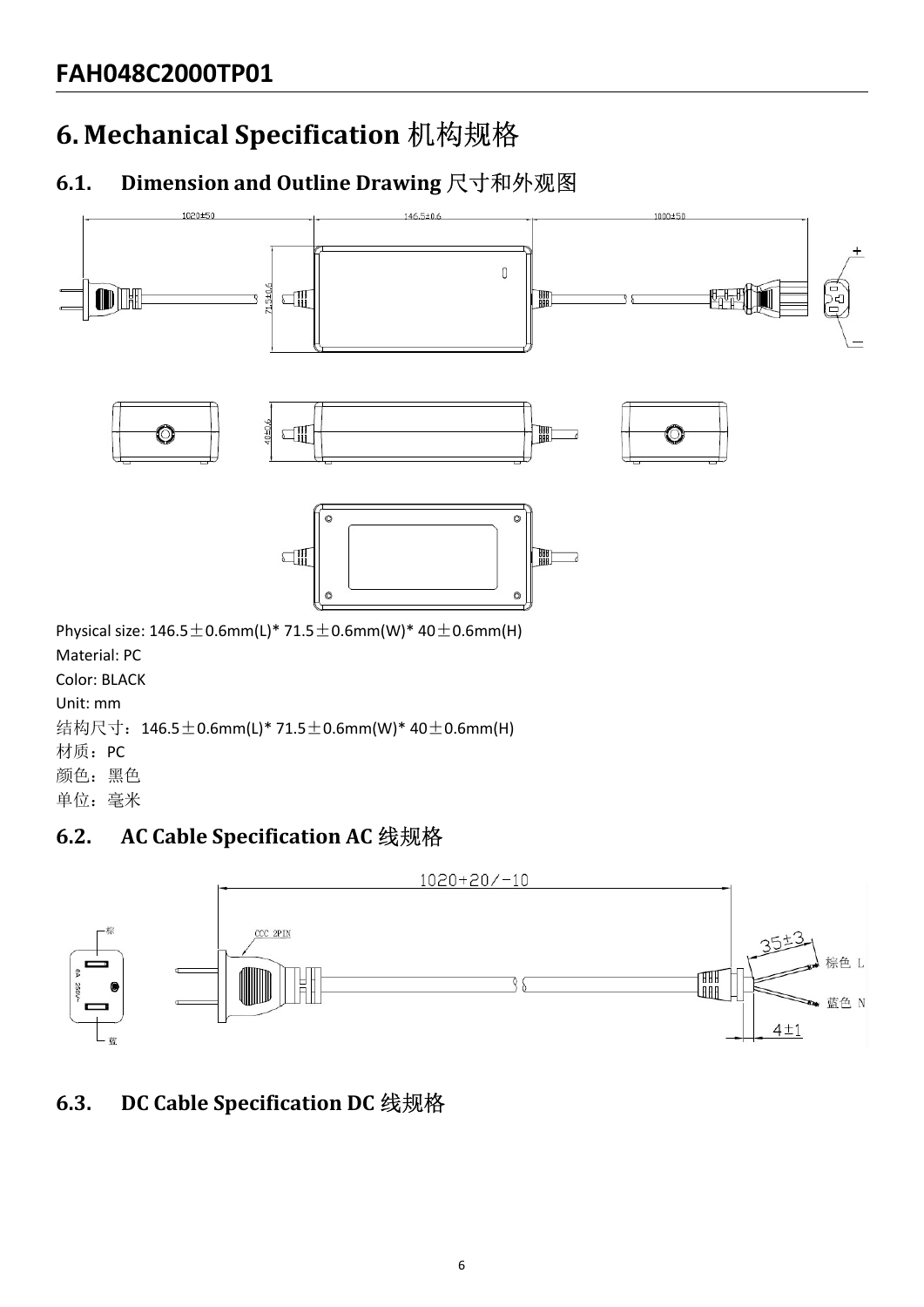